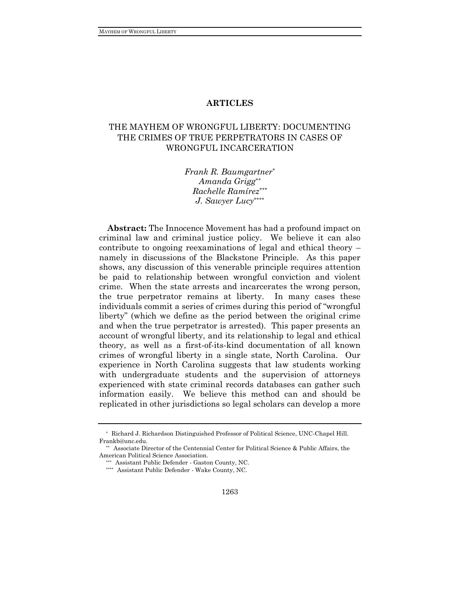# **ARTICLES**

# THE MAYHEM OF WRONGFUL LIBERTY: DOCUMENTING THE CRIMES OF TRUE PERPETRATORS IN CASES OF WRONGFUL INCARCERATION

*Frank R. Baumgartner*\* *Amanda Grigg*\*\* *Rachelle Ramírez*\*\*\* *J. Sawyer Lucy* \*\*\*\*

**Abstract:** The Innocence Movement has had a profound impact on criminal law and criminal justice policy. We believe it can also contribute to ongoing reexaminations of legal and ethical theory – namely in discussions of the Blackstone Principle. As this paper shows, any discussion of this venerable principle requires attention be paid to relationship between wrongful conviction and violent crime. When the state arrests and incarcerates the wrong person, the true perpetrator remains at liberty. In many cases these individuals commit a series of crimes during this period of "wrongful liberty" (which we define as the period between the original crime and when the true perpetrator is arrested). This paper presents an account of wrongful liberty, and its relationship to legal and ethical theory, as well as a first-of-its-kind documentation of all known crimes of wrongful liberty in a single state, North Carolina. Our experience in North Carolina suggests that law students working with undergraduate students and the supervision of attorneys experienced with state criminal records databases can gather such information easily. We believe this method can and should be replicated in other jurisdictions so legal scholars can develop a more

<sup>\*</sup> Richard J. Richardson Distinguished Professor of Political Science, UNC-Chapel Hill. Frankb@unc.edu.

<sup>\*\*</sup> Associate Director of the Centennial Center for Political Science & Public Affairs, the American Political Science Association.

<sup>\*\*\*</sup> Assistant Public Defender - Gaston County, NC.

<sup>\*\*\*\*</sup> Assistant Public Defender - Wake County, NC.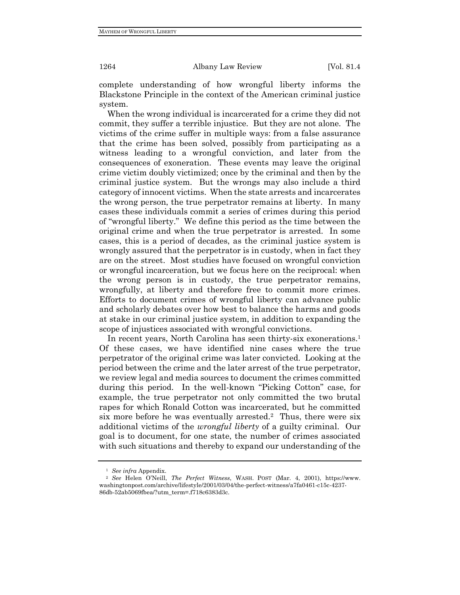complete understanding of how wrongful liberty informs the Blackstone Principle in the context of the American criminal justice system.

When the wrong individual is incarcerated for a crime they did not commit, they suffer a terrible injustice. But they are not alone. The victims of the crime suffer in multiple ways: from a false assurance that the crime has been solved, possibly from participating as a witness leading to a wrongful conviction, and later from the consequences of exoneration. These events may leave the original crime victim doubly victimized; once by the criminal and then by the criminal justice system. But the wrongs may also include a third category of innocent victims. When the state arrests and incarcerates the wrong person, the true perpetrator remains at liberty. In many cases these individuals commit a series of crimes during this period of "wrongful liberty." We define this period as the time between the original crime and when the true perpetrator is arrested. In some cases, this is a period of decades, as the criminal justice system is wrongly assured that the perpetrator is in custody, when in fact they are on the street. Most studies have focused on wrongful conviction or wrongful incarceration, but we focus here on the reciprocal: when the wrong person is in custody, the true perpetrator remains, wrongfully, at liberty and therefore free to commit more crimes. Efforts to document crimes of wrongful liberty can advance public and scholarly debates over how best to balance the harms and goods at stake in our criminal justice system, in addition to expanding the scope of injustices associated with wrongful convictions.

In recent years, North Carolina has seen thirty-six exonerations.<sup>1</sup> Of these cases, we have identified nine cases where the true perpetrator of the original crime was later convicted. Looking at the period between the crime and the later arrest of the true perpetrator, we review legal and media sources to document the crimes committed during this period. In the well-known "Picking Cotton" case, for example, the true perpetrator not only committed the two brutal rapes for which Ronald Cotton was incarcerated, but he committed six more before he was eventually arrested.<sup>2</sup> Thus, there were six additional victims of the *wrongful liberty* of a guilty criminal. Our goal is to document, for one state, the number of crimes associated with such situations and thereby to expand our understanding of the

<sup>1</sup> *See infra* Appendix.

<sup>2</sup> *See* Helen O'Neill, *The Perfect Witness*, WASH. POST (Mar. 4, 2001), https://www. washingtonpost.com/archive/lifestyle/2001/03/04/the-perfect-witness/a7fa0461-c15c-4237- 86db-52ab5069fbea/?utm\_term=.f718c6383d3c.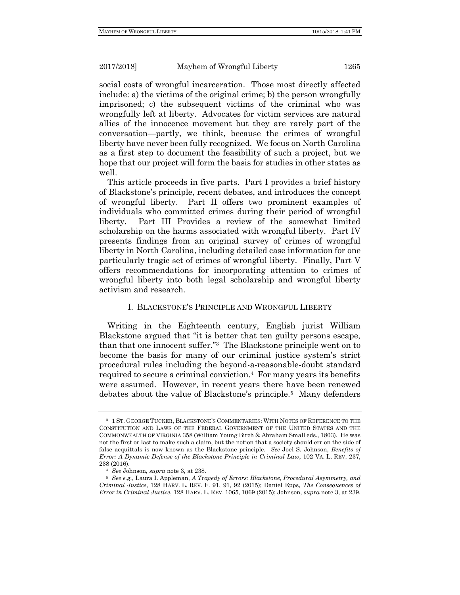social costs of wrongful incarceration. Those most directly affected include: a) the victims of the original crime; b) the person wrongfully imprisoned; c) the subsequent victims of the criminal who was wrongfully left at liberty. Advocates for victim services are natural allies of the innocence movement but they are rarely part of the conversation—partly, we think, because the crimes of wrongful liberty have never been fully recognized. We focus on North Carolina as a first step to document the feasibility of such a project, but we hope that our project will form the basis for studies in other states as well.

This article proceeds in five parts. Part I provides a brief history of Blackstone's principle, recent debates, and introduces the concept of wrongful liberty. Part II offers two prominent examples of individuals who committed crimes during their period of wrongful liberty. Part III Provides a review of the somewhat limited scholarship on the harms associated with wrongful liberty. Part IV presents findings from an original survey of crimes of wrongful liberty in North Carolina, including detailed case information for one particularly tragic set of crimes of wrongful liberty. Finally, Part V offers recommendations for incorporating attention to crimes of wrongful liberty into both legal scholarship and wrongful liberty activism and research.

### I. BLACKSTONE'S PRINCIPLE AND WRONGFUL LIBERTY

Writing in the Eighteenth century, English jurist William Blackstone argued that "it is better that ten guilty persons escape, than that one innocent suffer."<sup>3</sup> The Blackstone principle went on to become the basis for many of our criminal justice system's strict procedural rules including the beyond-a-reasonable-doubt standard required to secure a criminal conviction.<sup>4</sup> For many years its benefits were assumed. However, in recent years there have been renewed debates about the value of Blackstone's principle.<sup>5</sup> Many defenders

<sup>3</sup> 1 ST. GEORGE TUCKER, BLACKSTONE'S COMMENTARIES: WITH NOTES OF REFERENCE TO THE CONSTITUTION AND LAWS OF THE FEDERAL GOVERNMENT OF THE UNITED STATES AND THE COMMONWEALTH OF VIRGINIA 358 (William Young Birch & Abraham Small eds., 1803). He was not the first or last to make such a claim, but the notion that a society should err on the side of false acquittals is now known as the Blackstone principle. *See* Joel S. Johnson, *Benefits of Error: A Dynamic Defense of the Blackstone Principle in Criminal Law*, 102 VA. L. REV. 237, 238 (2016).

<sup>4</sup> *See* Johnson, *supra* note 3, at 238.

<sup>5</sup> *See e.g.*, Laura I. Appleman, *A Tragedy of Errors: Blackstone, Procedural Asymmetry, and Criminal Justice*, 128 HARV. L. REV. F. 91, 91, 92 (2015); Daniel Epps, *The Consequences of Error in Criminal Justice*, 128 HARV. L. REV. 1065, 1069 (2015); Johnson, *supra* note 3, at 239.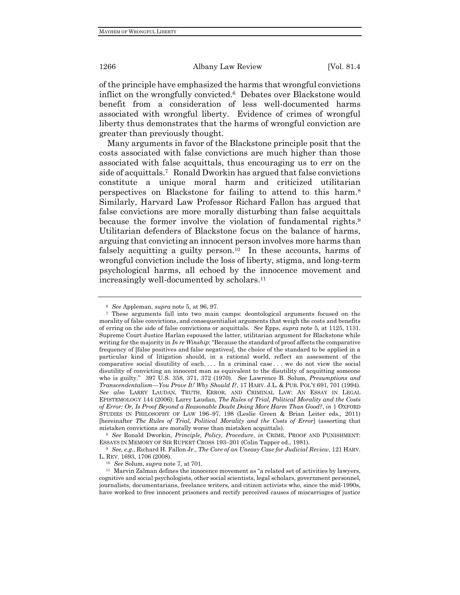of the principle have emphasized the harms that wrongful convictions inflict on the wrongfully convicted.<sup>6</sup> Debates over Blackstone would benefit from a consideration of less well-documented harms associated with wrongful liberty. Evidence of crimes of wrongful liberty thus demonstrates that the harms of wrongful conviction are greater than previously thought.

Many arguments in favor of the Blackstone principle posit that the costs associated with false convictions are much higher than those associated with false acquittals, thus encouraging us to err on the side of acquittals.<sup>7</sup> Ronald Dworkin has argued that false convictions constitute a unique moral harm and criticized utilitarian perspectives on Blackstone for failing to attend to this harm.<sup>8</sup> Similarly, Harvard Law Professor Richard Fallon has argued that false convictions are more morally disturbing than false acquittals because the former involve the violation of fundamental rights.<sup>9</sup> Utilitarian defenders of Blackstone focus on the balance of harms, arguing that convicting an innocent person involves more harms than falsely acquitting a guilty person.<sup>10</sup> In these accounts, harms of wrongful conviction include the loss of liberty, stigma, and long-term psychological harms, all echoed by the innocence movement and increasingly well-documented by scholars.<sup>11</sup>

<sup>9</sup> *See, e.g.*, Richard H. Fallon Jr., *The Core of an Uneasy Case for Judicial Review*, 121 HARV. L. REV. 1693, 1706 (2008).

<sup>6</sup> *See* Appleman, *supra* note 5, at 96, 97.

<sup>7</sup> These arguments fall into two main camps: deontological arguments focused on the morality of false convictions, and consequentialist arguments that weigh the costs and benefits of erring on the side of false convictions or acquittals. *See* Epps, *supra* note 5, at 1125, 1131. Supreme Court Justice Harlan espoused the latter, utilitarian argument for Blackstone while writing for the majority in *In re Winship*: "Because the standard of proof affects the comparative frequency of [false positives and false negatives], the choice of the standard to be applied in a particular kind of litigation should, in a rational world, reflect an assessment of the comparative social disutility of each. . . . In a criminal case . . . we do not view the social disutility of convicting an innocent man as equivalent to the disutility of acquitting someone who is guilty."397 U.S. 358, 371, 372 (1970). *See* Lawrence B. Solum, *Presumptions and Transcendentalism—You Prove It! Why Should I?*, 17 HARV. J.L. & PUB. POL'Y 691, 701 (1994). *See also* LARRY LAUDAN, TRUTH, ERROR, AND CRIMINAL LAW: AN ESSAY IN LEGAL EPISTEMOLOGY 144 (2006); Larry Laudan, *The Rules of Trial, Political Morality and the Costs of Error: Or, Is Proof Beyond a Reasonable Doubt Doing More Harm Than Good?*, *in* 1 OXFORD STUDIES IN PHILOSOPHY OF LAW 196–97, 198 (Leslie Green & Brian Leiter eds., 2011) [hereinafter *The Rules of Trial, Political Morality and the Costs of Error*] (asserting that mistaken convictions are morally worse than mistaken acquittals).

<sup>8</sup> *See* Ronald Dworkin, *Principle, Policy, Procedure*, *in* CRIME, PROOF AND PUNISHMENT: ESSAYS IN MEMORY OF SIR RUPERT CROSS 193–201 (Colin Tapper ed., 1981).

<sup>10</sup> *See* Solum, *supra* note 7, at 701.

 $^{\rm 11}$ Marvin Zalman defines the innocence movement as "a related set of activities by lawyers, cognitive and social psychologists, other social scientists, legal scholars, government personnel, journalists, documentarians, freelance writers, and citizen activists who, since the mid-1990s, have worked to free innocent prisoners and rectify perceived causes of miscarriages of justice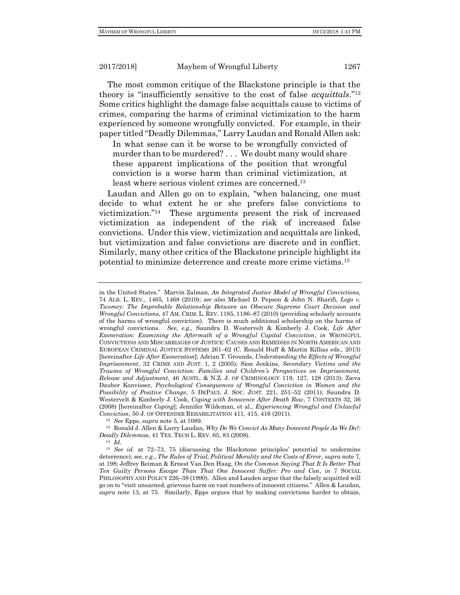The most common critique of the Blackstone principle is that the theory is "insufficiently sensitive to the cost of false *acquittals*."<sup>12</sup> Some critics highlight the damage false acquittals cause to victims of crimes, comparing the harms of criminal victimization to the harm experienced by someone wrongfully convicted. For example, in their paper titled "Deadly Dilemmas," Larry Laudan and Ronald Allen ask:

In what sense can it be worse to be wrongfully convicted of murder than to be murdered? . . . We doubt many would share these apparent implications of the position that wrongful conviction is a worse harm than criminal victimization, at least where serious violent crimes are concerned.<sup>13</sup>

Laudan and Allen go on to explain, "when balancing, one must decide to what extent he or she prefers false convictions to victimization."<sup>14</sup> These arguments present the risk of increased victimization as independent of the risk of increased false convictions. Under this view, victimization and acquittals are linked, but victimization and false convictions are discrete and in conflict. Similarly, many other critics of the Blackstone principle highlight its potential to minimize deterrence and create more crime victims.<sup>15</sup>

in the United States." Marvin Zalman, *An Integrated Justice Model of Wrongful Convictions,* 74 ALB. L. REV., 1465, 1468 (2010); *see also* Michael D. Pepson & John N. Sharifi, *Lego v. Twomey: The Improbable Relationship Between an Obscure Supreme Court Decision and Wrongful Convictions*, 47 AM. CRIM. L. REV. 1185, 1186–87 (2010) (providing scholarly accounts of the harms of wrongful conviction). There is much additional scholarship on the harms of wrongful convictions. *See, e.g.*, Saundra D. Westervelt & Kimberly J. Cook, *Life After Exoneration: Examining the Aftermath of a Wrongful Capital Conviction*, *in* WRONGFUL CONVICTIONS AND MISCARRIAGES OF JUSTICE: CAUSES AND REMEDIES IN NORTH AMERICAN AND EUROPEAN CRIMINAL JUSTICE SYSTEMS 261–62 (C. Ronald Huff & Martin Killias eds., 2013) [hereinafter *Life After Exoneration*]; Adrian T. Grounds, *Understanding the Effects of Wrongful Imprisonment*, 32 CRIME AND JUST. 1, 2 (2005); Sion Jenkins, *Secondary Victims and the Trauma of Wrongful Conviction: Families and Children's Perspectives on Imprisonment, Release and Adjustment*, 46 AUSTL. & N.Z. J. OF CRIMINOLOGY 119, 127, 128 (2013); Zieva Dauber Konvisser, *Psychological Consequences of Wrongful Conviction in Women and the Possibility of Positive Change*, 5 DEPAUL J. SOC. JUST. 221, 251–52 (2011); Saundra D. Westervelt & Kimberly J. Cook, *Coping with Innocence After Death Row*, 7 CONTEXTS 32, 36 (2008) [hereinafter *Coping*]; Jennifer Wildeman, et al., *Experiencing Wrongful and Unlawful Conviction*, 50 J. OF OFFENDER REHABILITATION 411, 415, 416 (2011).

<sup>12</sup> *See* Epps, *supra* note 5, at 1089.

<sup>13</sup> Ronald J. Allen & Larry Laudan, *Why Do We Convict As Many Innocent People As We Do?: Deadly Dilemmas*, 41 TEX. TECH L. REV. 65, 83 (2008).

<sup>14</sup> *Id.*

<sup>15</sup> *See id.* at 72–73, 75 (discussing the Blackstone principles' potential to undermine deterrence); *see, e.g.*, *The Rules of Trial, Political Morality and the Costs of Error*, *supra* note 7, at 198; Jeffrey Reiman & Ernest Van Den Haag, *On the Common Saying That It Is Better That Ten Guilty Persons Escape Than That One Innocent Suffer: Pro and Con*, *in* 7 SOCIAL PHILOSOPHY AND POLICY 226–38 (1990). Allen and Lauden argue that the falsely acquitted will go on to "visit unearned, grievous harm on vast numbers of innocent citizens." Allen & Laudan, *supra* note 13, at 75. Similarly, Epps argues that by making convictions harder to obtain,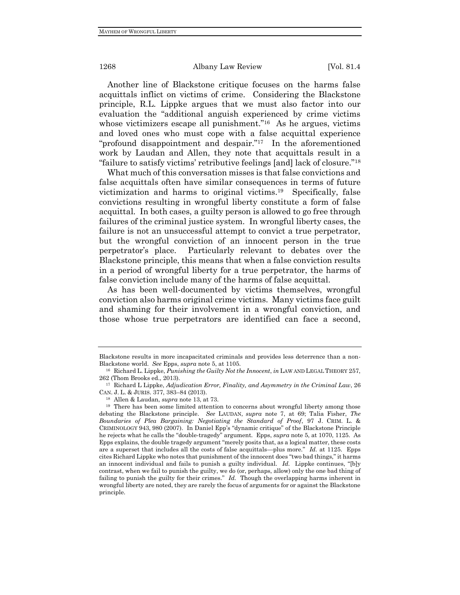Another line of Blackstone critique focuses on the harms false acquittals inflict on victims of crime. Considering the Blackstone principle, R.L. Lippke argues that we must also factor into our evaluation the "additional anguish experienced by crime victims whose victimizers escape all punishment."<sup>16</sup> As he argues, victims and loved ones who must cope with a false acquittal experience "profound disappointment and despair."<sup>17</sup> In the aforementioned work by Laudan and Allen, they note that acquittals result in a "failure to satisfy victims' retributive feelings [and] lack of closure."<sup>18</sup>

What much of this conversation misses is that false convictions and false acquittals often have similar consequences in terms of future victimization and harms to original victims.<sup>19</sup> Specifically, false convictions resulting in wrongful liberty constitute a form of false acquittal. In both cases, a guilty person is allowed to go free through failures of the criminal justice system. In wrongful liberty cases, the failure is not an unsuccessful attempt to convict a true perpetrator, but the wrongful conviction of an innocent person in the true perpetrator's place. Particularly relevant to debates over the Blackstone principle, this means that when a false conviction results in a period of wrongful liberty for a true perpetrator, the harms of false conviction include many of the harms of false acquittal.

As has been well-documented by victims themselves, wrongful conviction also harms original crime victims. Many victims face guilt and shaming for their involvement in a wrongful conviction, and those whose true perpetrators are identified can face a second,

Blackstone results in more incapacitated criminals and provides less deterrence than a non-Blackstone world. *See* Epps, *supra* note 5, at 1105.

<sup>16</sup> Richard L. Lippke, *Punishing the Guilty Not the Innocent*, *in* LAW AND LEGAL THEORY 257, 262 (Thom Brooks ed., 2013).

<sup>17</sup> Richard L Lippke, *Adjudication Error, Finality, and Asymmetry in the Criminal Law*, 26 CAN. J. L. & JURIS. 377, 383–84 (2013).

<sup>18</sup> Allen & Laudan, *supra* note 13, at 73.

<sup>&</sup>lt;sup>19</sup> There has been some limited attention to concerns about wrongful liberty among those debating the Blackstone principle. *See* LAUDAN, *supra* note 7, at 69; Talia Fisher, *The Boundaries of Plea Bargaining: Negotiating the Standard of Proof*, 97 J. CRIM. L. & CRIMINOLOGY 943, 980 (2007). In Daniel Epp's "dynamic critique" of the Blackstone Principle he rejects what he calls the "double-tragedy" argument. Epps, *supra* note 5, at 1070, 1125. As Epps explains, the double tragedy argument "merely posits that, as a logical matter, these costs are a superset that includes all the costs of false acquittals—plus more." *Id.* at 1125. Epps cites Richard Lippke who notes that punishment of the innocent does "two bad things," it harms an innocent individual and fails to punish a guilty individual. *Id.* Lippke continues, "[b]y contrast, when we fail to punish the guilty, we do (or, perhaps, allow) only the one bad thing of failing to punish the guilty for their crimes." *Id.* Though the overlapping harms inherent in wrongful liberty are noted, they are rarely the focus of arguments for or against the Blackstone principle.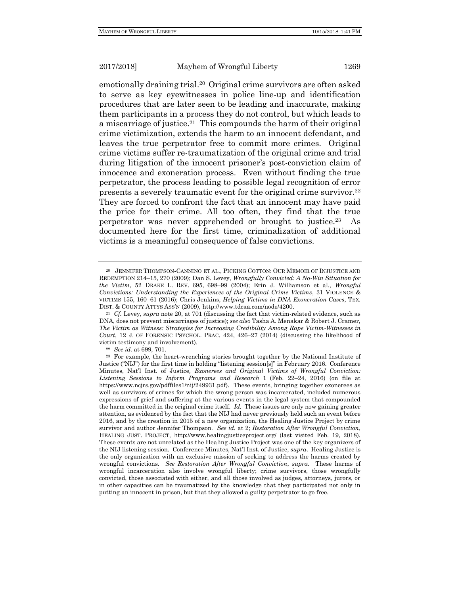emotionally draining trial.<sup>20</sup> Original crime survivors are often asked to serve as key eyewitnesses in police line-up and identification procedures that are later seen to be leading and inaccurate, making them participants in a process they do not control, but which leads to a miscarriage of justice.<sup>21</sup> This compounds the harm of their original crime victimization, extends the harm to an innocent defendant, and leaves the true perpetrator free to commit more crimes. Original crime victims suffer re-traumatization of the original crime and trial during litigation of the innocent prisoner's post-conviction claim of innocence and exoneration process. Even without finding the true perpetrator, the process leading to possible legal recognition of error presents a severely traumatic event for the original crime survivor.<sup>22</sup> They are forced to confront the fact that an innocent may have paid the price for their crime. All too often, they find that the true perpetrator was never apprehended or brought to justice.<sup>23</sup> As documented here for the first time, criminalization of additional victims is a meaningful consequence of false convictions.

<sup>20</sup> JENNIFER THOMPSON-CANNINO ET AL., PICKING COTTON: OUR MEMOIR OF INJUSTICE AND REDEMPTION 214–15, 270 (2009); Dan S. Levey, *Wrongfully Convicted: A No-Win Situation for the Victim*, 52 DRAKE L. REV. 695, 698–99 (2004); Erin J. Williamson et al., *Wrongful Convictions: Understanding the Experiences of the Original Crime Victims*, 31 VIOLENCE & VICTIMS 155, 160–61 (2016); Chris Jenkins, *Helping Victims in DNA Exoneration Cases*, TEX. DIST. & COUNTY ATTYS ASS'N (2009), http://www.tdcaa.com/node/4200.

<sup>21</sup> *Cf.* Levey, *supra* note 20, at 701 (discussing the fact that victim-related evidence, such as DNA, does not prevent miscarriages of justice); *see also* Tasha A. Menakar & Robert J. Cramer, *The Victim as Witness: Strategies for Increasing Credibility Among Rape Victim-Witnesses in Court*, 12 J. OF FORENSIC PSYCHOL. PRAC. 424, 426–27 (2014) (discussing the likelihood of victim testimony and involvement).

<sup>22</sup> *See id.* at 699, 701.

<sup>&</sup>lt;sup>23</sup> For example, the heart-wrenching stories brought together by the National Institute of Justice ("NIJ") for the first time in holding "listening session[s]" in February 2016. Conference Minutes, Nat'l Inst. of Justice*, Exonerees and Original Victims of Wrongful Conviction: Listening Sessions to Inform Programs and Research* 1 (Feb. 22–24, 2016) (on file at https://www.ncjrs.gov/pdffiles1/nij/249931.pdf). These events, bringing together exonerees as well as survivors of crimes for which the wrong person was incarcerated, included numerous expressions of grief and suffering at the various events in the legal system that compounded the harm committed in the original crime itself. *Id.* These issues are only now gaining greater attention, as evidenced by the fact that the NIJ had never previously held such an event before 2016, and by the creation in 2015 of a new organization, the Healing Justice Project by crime survivor and author Jennifer Thompson. *See id.* at 2; *Restoration After Wrongful Conviction*, HEALING JUST. PROJECT, http://www.healingjusticeproject.org/ (last visited Feb. 19, 2018). These events are not unrelated as the Healing Justice Project was one of the key organizers of the NIJ listening session. Conference Minutes, Nat'l Inst. of Justice, *supra*. Healing Justice is the only organization with an exclusive mission of seeking to address the harms created by wrongful convictions. *See Restoration After Wrongful Conviction*, *supra*. These harms of wrongful incarceration also involve wrongful liberty; crime survivors, those wrongfully convicted, those associated with either, and all those involved as judges, attorneys, jurors, or in other capacities can be traumatized by the knowledge that they participated not only in putting an innocent in prison, but that they allowed a guilty perpetrator to go free.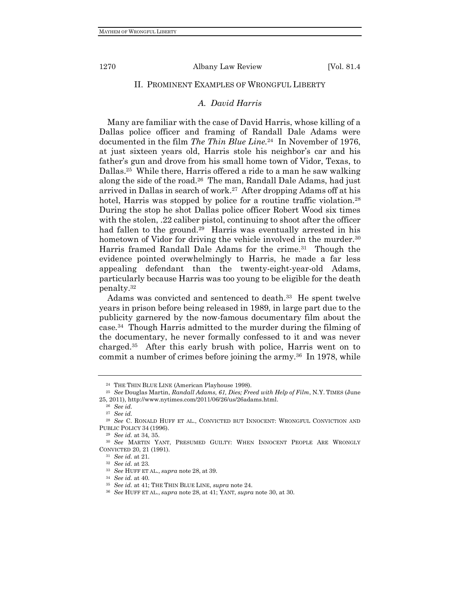### II. PROMINENT EXAMPLES OF WRONGFUL LIBERTY

# *A. David Harris*

Many are familiar with the case of David Harris, whose killing of a Dallas police officer and framing of Randall Dale Adams were documented in the film *The Thin Blue Line.*<sup>24</sup> In November of 1976, at just sixteen years old, Harris stole his neighbor's car and his father's gun and drove from his small home town of Vidor, Texas, to Dallas.<sup>25</sup> While there, Harris offered a ride to a man he saw walking along the side of the road.<sup>26</sup> The man, Randall Dale Adams, had just arrived in Dallas in search of work.<sup>27</sup> After dropping Adams off at his hotel, Harris was stopped by police for a routine traffic violation.<sup>28</sup> During the stop he shot Dallas police officer Robert Wood six times with the stolen, .22 caliber pistol, continuing to shoot after the officer had fallen to the ground.<sup>29</sup> Harris was eventually arrested in his hometown of Vidor for driving the vehicle involved in the murder.<sup>30</sup> Harris framed Randall Dale Adams for the crime.<sup>31</sup> Though the evidence pointed overwhelmingly to Harris, he made a far less appealing defendant than the twenty-eight-year-old Adams, particularly because Harris was too young to be eligible for the death penalty.<sup>32</sup>

Adams was convicted and sentenced to death.<sup>33</sup> He spent twelve years in prison before being released in 1989, in large part due to the publicity garnered by the now-famous documentary film about the case*.* 34 Though Harris admitted to the murder during the filming of the documentary, he never formally confessed to it and was never charged.<sup>35</sup> After this early brush with police, Harris went on to commit a number of crimes before joining the army.<sup>36</sup> In 1978, while

<sup>24</sup> THE THIN BLUE LINE (American Playhouse 1998).

<sup>25</sup> *See* Douglas Martin, *Randall Adams, 61, Dies; Freed with Help of Film*, N.Y. TIMES (June 25, 2011), http://www.nytimes.com/2011/06/26/us/26adams.html.

<sup>26</sup> *See id.*

<sup>27</sup> *See id.*

<sup>28</sup> *See* C. RONALD HUFF ET AL., CONVICTED BUT INNOCENT: WRONGFUL CONVICTION AND PUBLIC POLICY 34 (1996).

<sup>29</sup> *See id.* at 34, 35.

<sup>30</sup> *See* MARTIN YANT, PRESUMED GUILTY: WHEN INNOCENT PEOPLE ARE WRONGLY CONVICTED 20, 21 (1991).

<sup>31</sup> *See id.* at 21.

<sup>32</sup> *See id.* at 23.

<sup>33</sup> *See* HUFF ET AL., *supra* note 28, at 39.

<sup>34</sup> *See id.* at 40.

<sup>35</sup> *See id.* at 41; THE THIN BLUE LINE, *supra* note 24.

<sup>36</sup> *See* HUFF ET AL., *supra* note 28, at 41; YANT, *supra* note 30, at 30.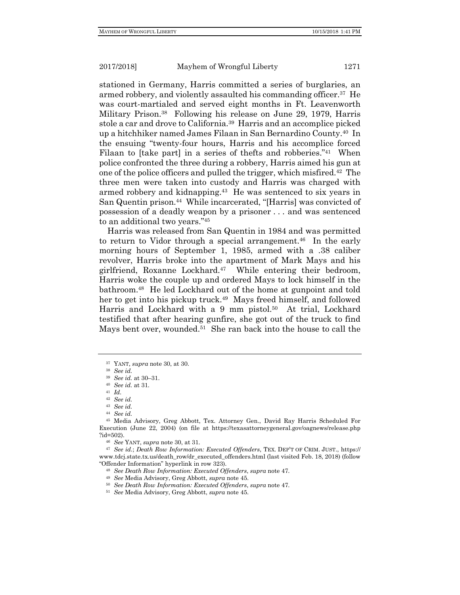stationed in Germany, Harris committed a series of burglaries, an armed robbery, and violently assaulted his commanding officer.<sup>37</sup> He was court-martialed and served eight months in Ft. Leavenworth Military Prison.<sup>38</sup> Following his release on June 29, 1979, Harris stole a car and drove to California.<sup>39</sup> Harris and an accomplice picked up a hitchhiker named James Filaan in San Bernardino County.<sup>40</sup> In the ensuing "twenty-four hours, Harris and his accomplice forced Filaan to [take part] in a series of thefts and robberies."<sup>41</sup> When police confronted the three during a robbery, Harris aimed his gun at one of the police officers and pulled the trigger, which misfired.<sup>42</sup> The three men were taken into custody and Harris was charged with armed robbery and kidnapping.<sup>43</sup> He was sentenced to six years in San Quentin prison.<sup>44</sup> While incarcerated, "[Harris] was convicted of possession of a deadly weapon by a prisoner . . . and was sentenced to an additional two years."<sup>45</sup>

Harris was released from San Quentin in 1984 and was permitted to return to Vidor through a special arrangement.<sup>46</sup> In the early morning hours of September 1, 1985, armed with a .38 caliber revolver, Harris broke into the apartment of Mark Mays and his girlfriend, Roxanne Lockhard.<sup>47</sup> While entering their bedroom, Harris woke the couple up and ordered Mays to lock himself in the bathroom.<sup>48</sup> He led Lockhard out of the home at gunpoint and told her to get into his pickup truck.<sup>49</sup> Mays freed himself, and followed Harris and Lockhard with a 9 mm pistol.<sup>50</sup> At trial, Lockhard testified that after hearing gunfire, she got out of the truck to find Mays bent over, wounded.<sup>51</sup> She ran back into the house to call the

<sup>37</sup> YANT, *supra* note 30, at 30.

<sup>38</sup> *See id.*

<sup>39</sup> *See id.* at 30–31.

<sup>40</sup> *See id.* at 31.

<sup>41</sup> *Id.*

<sup>42</sup> *See id.*

<sup>43</sup> *See id.*

<sup>44</sup> *See id.*

<sup>45</sup> Media Advisory, Greg Abbott, Tex. Attorney Gen., David Ray Harris Scheduled For Execution (June 22, 2004) (on file at https://texasattorneygeneral.gov/oagnews/release.php ?id=502).

<sup>46</sup> *See* YANT, *supra* note 30, at 31.

<sup>47</sup> *See id.*; *Death Row Information: Executed Offenders*, TEX. DEP'T OF CRIM. JUST., https:// www.tdcj.state.tx.us/death\_row/dr\_executed\_offenders.html (last visited Feb. 18, 2018) (follow "Offender Information" hyperlink in row 323).

<sup>48</sup> *See Death Row Information: Executed Offenders*, *supra* note 47.

<sup>49</sup> *See* Media Advisory, Greg Abbott, *supra* note 45.

<sup>50</sup> *See Death Row Information: Executed Offenders*, *supra* note 47.

<sup>51</sup> *See* Media Advisory, Greg Abbott, *supra* note 45.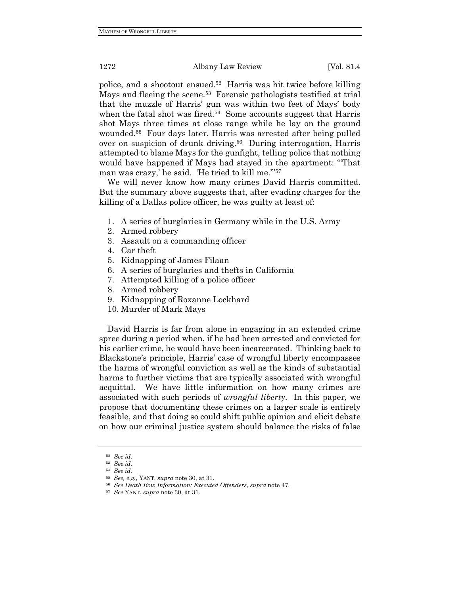police, and a shootout ensued.<sup>52</sup> Harris was hit twice before killing Mays and fleeing the scene.<sup>53</sup> Forensic pathologists testified at trial that the muzzle of Harris' gun was within two feet of Mays' body when the fatal shot was fired.<sup>54</sup> Some accounts suggest that Harris shot Mays three times at close range while he lay on the ground wounded.<sup>55</sup> Four days later, Harris was arrested after being pulled over on suspicion of drunk driving.<sup>56</sup> During interrogation, Harris attempted to blame Mays for the gunfight, telling police that nothing would have happened if Mays had stayed in the apartment: "'That man was crazy,' he said. 'He tried to kill me.'"<sup>57</sup>

We will never know how many crimes David Harris committed. But the summary above suggests that, after evading charges for the killing of a Dallas police officer, he was guilty at least of:

- 1. A series of burglaries in Germany while in the U.S. Army
- 2. Armed robbery
- 3. Assault on a commanding officer
- 4. Car theft
- 5. Kidnapping of James Filaan
- 6. A series of burglaries and thefts in California
- 7. Attempted killing of a police officer
- 8. Armed robbery
- 9. Kidnapping of Roxanne Lockhard
- 10. Murder of Mark Mays

David Harris is far from alone in engaging in an extended crime spree during a period when, if he had been arrested and convicted for his earlier crime, he would have been incarcerated. Thinking back to Blackstone's principle, Harris' case of wrongful liberty encompasses the harms of wrongful conviction as well as the kinds of substantial harms to further victims that are typically associated with wrongful acquittal. We have little information on how many crimes are associated with such periods of *wrongful liberty*. In this paper, we propose that documenting these crimes on a larger scale is entirely feasible, and that doing so could shift public opinion and elicit debate on how our criminal justice system should balance the risks of false

<sup>52</sup> *See id.*

<sup>53</sup> *See id.*

<sup>54</sup> *See id.*

<sup>55</sup> *See, e.g.*, YANT, *supra* note 30, at 31.

<sup>56</sup> *See Death Row Information: Executed Offenders*, *supra* note 47.

<sup>57</sup> *See* YANT, *supra* note 30, at 31.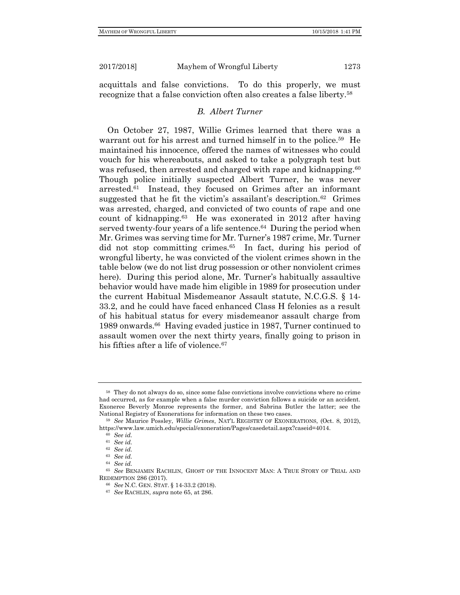acquittals and false convictions. To do this properly, we must recognize that a false conviction often also creates a false liberty.<sup>58</sup>

# *B. Albert Turner*

On October 27, 1987, Willie Grimes learned that there was a warrant out for his arrest and turned himself in to the police.<sup>59</sup> He maintained his innocence, offered the names of witnesses who could vouch for his whereabouts, and asked to take a polygraph test but was refused, then arrested and charged with rape and kidnapping.<sup>60</sup> Though police initially suspected Albert Turner, he was never arrested.<sup>61</sup> Instead, they focused on Grimes after an informant suggested that he fit the victim's assailant's description.<sup>62</sup> Grimes was arrested, charged, and convicted of two counts of rape and one count of kidnapping.<sup>63</sup> He was exonerated in 2012 after having served twenty-four years of a life sentence.<sup>64</sup> During the period when Mr. Grimes was serving time for Mr. Turner's 1987 crime, Mr. Turner did not stop committing crimes.<sup>65</sup> In fact, during his period of wrongful liberty, he was convicted of the violent crimes shown in the table below (we do not list drug possession or other nonviolent crimes here). During this period alone, Mr. Turner's habitually assaultive behavior would have made him eligible in 1989 for prosecution under the current Habitual Misdemeanor Assault statute, N.C.G.S. § 14- 33.2, and he could have faced enhanced Class H felonies as a result of his habitual status for every misdemeanor assault charge from 1989 onwards.<sup>66</sup> Having evaded justice in 1987, Turner continued to assault women over the next thirty years, finally going to prison in his fifties after a life of violence.<sup>67</sup>

<sup>58</sup> They do not always do so, since some false convictions involve convictions where no crime had occurred, as for example when a false murder conviction follows a suicide or an accident. Exoneree Beverly Monroe represents the former, and Sabrina Butler the latter; see the National Registry of Exonerations for information on these two cases.

<sup>59</sup> *See* Maurice Possley, *Willie Grimes*, NAT'L REGISTRY OF EXONERATIONS, (Oct. 8, 2012), https://www.law.umich.edu/special/exoneration/Pages/casedetail.aspx?caseid=4014.

<sup>60</sup> *See id.*

<sup>61</sup> *See id.*

<sup>62</sup> *See id.*

<sup>63</sup> *See id.*

<sup>64</sup> *See id.*

<sup>65</sup> *See* BENJAMIN RACHLIN, GHOST OF THE INNOCENT MAN: A TRUE STORY OF TRIAL AND REDEMPTION 286 (2017).

<sup>66</sup> *See* N.C. GEN. STAT. § 14-33.2 (2018).

<sup>67</sup> *See* RACHLIN, *supra* note 65, at 286.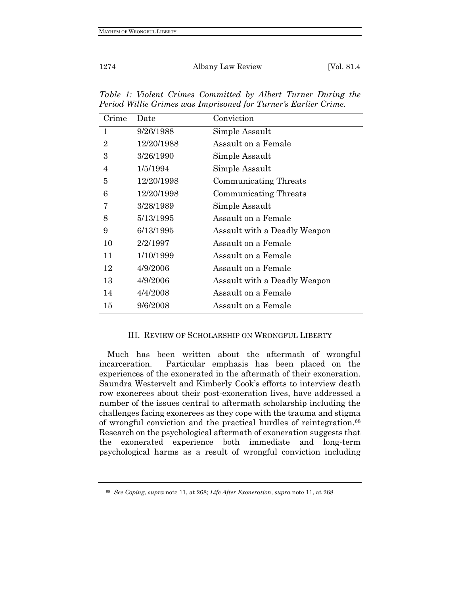| Crime          | Date       | Conviction                   |
|----------------|------------|------------------------------|
| $\mathbf{1}$   | 9/26/1988  | Simple Assault               |
| $\overline{2}$ | 12/20/1988 | Assault on a Female          |
| 3              | 3/26/1990  | Simple Assault               |
| $\overline{4}$ | 1/5/1994   | Simple Assault               |
| 5              | 12/20/1998 | Communicating Threats        |
| 6              | 12/20/1998 | Communicating Threats        |
| 7              | 3/28/1989  | Simple Assault               |
| 8              | 5/13/1995  | Assault on a Female          |
| 9              | 6/13/1995  | Assault with a Deadly Weapon |
| 10             | 2/2/1997   | Assault on a Female          |
| 11             | 1/10/1999  | Assault on a Female          |
| 12             | 4/9/2006   | Assault on a Female          |
| 13             | 4/9/2006   | Assault with a Deadly Weapon |
| 14             | 4/4/2008   | Assault on a Female          |
| 15             | 9/6/2008   | Assault on a Female          |

*Table 1: Violent Crimes Committed by Albert Turner During the Period Willie Grimes was Imprisoned for Turner's Earlier Crime.*

# III. REVIEW OF SCHOLARSHIP ON WRONGFUL LIBERTY

Much has been written about the aftermath of wrongful incarceration. Particular emphasis has been placed on the experiences of the exonerated in the aftermath of their exoneration. Saundra Westervelt and Kimberly Cook's efforts to interview death row exonerees about their post-exoneration lives, have addressed a number of the issues central to aftermath scholarship including the challenges facing exonerees as they cope with the trauma and stigma of wrongful conviction and the practical hurdles of reintegration.<sup>68</sup> Research on the psychological aftermath of exoneration suggests that the exonerated experience both immediate and long-term psychological harms as a result of wrongful conviction including

<sup>68</sup> *See Coping*, *supra* note 11, at 268; *Life After Exoneration*, *supra* note 11, at 268.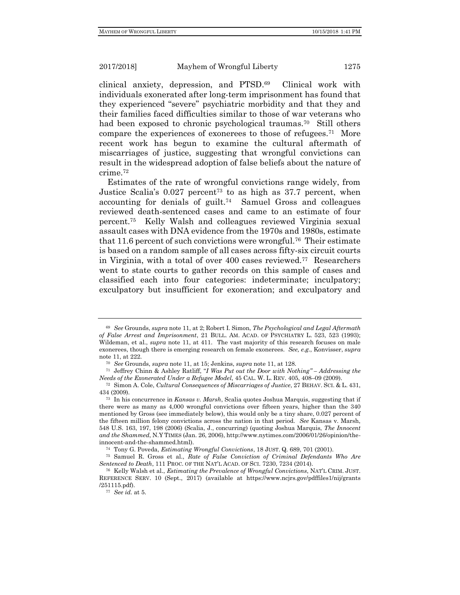clinical anxiety, depression, and PTSD.<sup>69</sup> Clinical work with individuals exonerated after long-term imprisonment has found that they experienced "severe" psychiatric morbidity and that they and their families faced difficulties similar to those of war veterans who had been exposed to chronic psychological traumas.<sup>70</sup> Still others compare the experiences of exonerees to those of refugees.<sup>71</sup> More recent work has begun to examine the cultural aftermath of miscarriages of justice, suggesting that wrongful convictions can result in the widespread adoption of false beliefs about the nature of crime.<sup>72</sup>

Estimates of the rate of wrongful convictions range widely, from Justice Scalia's 0.027 percent<sup>73</sup> to as high as 37.7 percent, when accounting for denials of guilt. 74 Samuel Gross and colleagues reviewed death-sentenced cases and came to an estimate of four percent.<sup>75</sup> Kelly Walsh and colleagues reviewed Virginia sexual assault cases with DNA evidence from the 1970s and 1980s, estimate that 11.6 percent of such convictions were wrongful.<sup>76</sup> Their estimate is based on a random sample of all cases across fifty-six circuit courts in Virginia, with a total of over 400 cases reviewed.<sup>77</sup> Researchers went to state courts to gather records on this sample of cases and classified each into four categories: indeterminate; inculpatory; exculpatory but insufficient for exoneration; and exculpatory and

<sup>69</sup> *See* Grounds, *supra* note 11, at 2; Robert I. Simon, *The Psychological and Legal Aftermath of False Arrest and Imprisonment*, 21 BULL. AM. ACAD. OF PSYCHIATRY L. 523, 523 (1993); Wildeman, et al., *supra* note 11, at 411. The vast majority of this research focuses on male exonerees, though there is emerging research on female exonerees. *See, e.g.*, Konvisser, *supra* note 11, at 222.

<sup>70</sup> *See* Grounds, *supra* note 11, at 15; Jenkins, *supra* note 11, at 128.

<sup>71</sup> Jeffrey Chinn & Ashley Ratliff, "*I Was Put out the Door with Nothing" – Addressing the Needs of the Exonerated Under a Refugee Model*, 45 CAL. W. L. REV. 405, 408–09 (2009).

<sup>72</sup> Simon A. Cole, *Cultural Consequences of Miscarriages of Justice*, 27 BEHAV. SCI. & L. 431, 434 (2009).

<sup>73</sup> In his concurrence in *Kansas v. Marsh*, Scalia quotes Joshua Marquis, suggesting that if there were as many as 4,000 wrongful convictions over fifteen years, higher than the 340 mentioned by Gross (see immediately below), this would only be a tiny share, 0.027 percent of the fifteen million felony convictions across the nation in that period. *See* Kansas v. Marsh, 548 U.S. 163, 197, 198 (2006) (Scalia, J., concurring) (quoting Joshua Marquis, *The Innocent and the Shammed*, N.Y TIMES (Jan. 26, 2006), http://www.nytimes.com/2006/01/26/opinion/theinnocent-and-the-shammed.html).

<sup>74</sup> Tony G. Poveda, *Estimating Wrongful Convictions*, 18 JUST. Q. 689, 701 (2001).

<sup>75</sup> Samuel R. Gross et al., *Rate of False Conviction of Criminal Defendants Who Are Sentenced to Death*, 111 PROC. OF THE NAT'L ACAD. OF SCI. 7230, 7234 (2014).

<sup>76</sup> Kelly Walsh et al., *Estimating the Prevalence of Wrongful Convictions*, NAT'L CRIM. JUST. REFERENCE SERV. 10 (Sept., 2017) (available at https://www.ncjrs.gov/pdffiles1/nij/grants /251115.pdf).

<sup>77</sup> *See id.* at 5.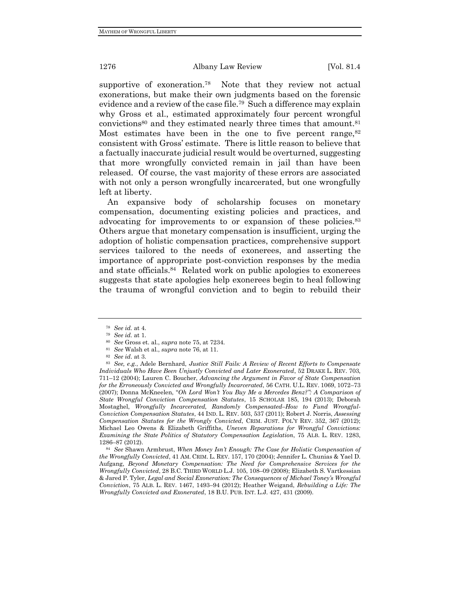supportive of exoneration.<sup>78</sup> Note that they review not actual exonerations, but make their own judgments based on the forensic evidence and a review of the case file.<sup>79</sup> Such a difference may explain why Gross et al., estimated approximately four percent wrongful convictions<sup>80</sup> and they estimated nearly three times that amount.<sup>81</sup> Most estimates have been in the one to five percent range,  $82$ consistent with Gross' estimate. There is little reason to believe that a factually inaccurate judicial result would be overturned, suggesting that more wrongfully convicted remain in jail than have been released. Of course, the vast majority of these errors are associated with not only a person wrongfully incarcerated, but one wrongfully left at liberty.

An expansive body of scholarship focuses on monetary compensation, documenting existing policies and practices, and advocating for improvements to or expansion of these policies.<sup>83</sup> Others argue that monetary compensation is insufficient, urging the adoption of holistic compensation practices, comprehensive support services tailored to the needs of exonerees, and asserting the importance of appropriate post-conviction responses by the media and state officials.<sup>84</sup> Related work on public apologies to exonerees suggests that state apologies help exonerees begin to heal following the trauma of wrongful conviction and to begin to rebuild their

<sup>78</sup> *See id.* at 4.

<sup>79</sup> *See id.* at 1.

<sup>80</sup> *See* Gross et. al., *supra* note 75, at 7234.

<sup>81</sup> *See* Walsh et al., *supra* note 76, at 11.

<sup>82</sup> *See id*. at 3.

<sup>83</sup> *See, e.g.*, Adele Bernhard, *Justice Still Fails: A Review of Recent Efforts to Compensate Individuals Who Have Been Unjustly Convicted and Later Exonerated*, 52 DRAKE L. REV. 703, 711–12 (2004); Lauren C. Boucher, *Advancing the Argument in Favor of State Compensation for the Erroneously Convicted and Wrongfully Incarcerated*, 56 CATH. U.L. REV. 1069, 1072–73 (2007); Donna McKneelen, "*Oh Lord Won't You Buy Me a Mercedes Benz?": A Comparison of State Wrongful Conviction Compensation Statutes*, 15 SCHOLAR 185, 194 (2013); Deborah Mostaghel, *Wrongfully Incarcerated, Randomly Compensated–How to Fund Wrongful-Conviction Compensation Statutes*, 44 IND. L. REV. 503, 537 (2011); Robert J. Norris, *Assessing Compensation Statutes for the Wrongly Convicted*, CRIM. JUST. POL'Y REV. 352, 367 (2012); Michael Leo Owens & Elizabeth Griffiths, *Uneven Reparations for Wrongful Convictions: Examining the State Politics of Statutory Compensation Legislation*, 75 ALB. L. REV. 1283, 1286–87 (2012).

<sup>84</sup> *See* Shawn Armbrust, *When Money Isn't Enough: The Case for Holistic Compensation of the Wrongfully Convicted*, 41 AM. CRIM. L. REV. 157, 170 (2004); Jennifer L. Chunias & Yael D. Aufgang, *Beyond Monetary Compensation: The Need for Comprehensive Services for the Wrongfully Convicted*, 28 B.C. THIRD WORLD L.J. 105, 108–09 (2008); Elizabeth S. Vartkessian & Jared P. Tyler, *Legal and Social Exoneration: The Consequences of Michael Toney's Wrongful Conviction*, 75 ALB. L. REV. 1467, 1493–94 (2012); Heather Weigand, *Rebuilding a Life: The Wrongfully Convicted and Exonerated*, 18 B.U. PUB. INT. L.J. 427, 431 (2009).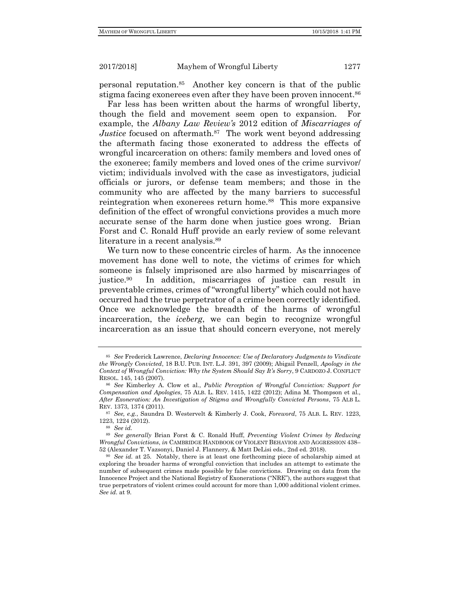personal reputation.<sup>85</sup> Another key concern is that of the public stigma facing exonerees even after they have been proven innocent.<sup>86</sup>

Far less has been written about the harms of wrongful liberty, though the field and movement seem open to expansion. For example, the *Albany Law Review's* 2012 edition of *Miscarriages of*  Justice focused on aftermath.<sup>87</sup> The work went beyond addressing the aftermath facing those exonerated to address the effects of wrongful incarceration on others: family members and loved ones of the exoneree; family members and loved ones of the crime survivor/ victim; individuals involved with the case as investigators, judicial officials or jurors, or defense team members; and those in the community who are affected by the many barriers to successful reintegration when exonerees return home.<sup>88</sup> This more expansive definition of the effect of wrongful convictions provides a much more accurate sense of the harm done when justice goes wrong. Brian Forst and C. Ronald Huff provide an early review of some relevant literature in a recent analysis.<sup>89</sup>

We turn now to these concentric circles of harm. As the innocence movement has done well to note, the victims of crimes for which someone is falsely imprisoned are also harmed by miscarriages of justice.<sup>90</sup> In addition, miscarriages of justice can result in preventable crimes, crimes of "wrongful liberty" which could not have occurred had the true perpetrator of a crime been correctly identified. Once we acknowledge the breadth of the harms of wrongful incarceration, the *iceberg*, we can begin to recognize wrongful incarceration as an issue that should concern everyone, not merely

<sup>85</sup> *See* Frederick Lawrence, *Declaring Innocence: Use of Declaratory Judgments to Vindicate the Wrongly Convicted*, 18 B.U. PUB. INT. L.J. 391, 397 (2009); Abigail Penzell, *Apology in the Context of Wrongful Conviction: Why the System Should Say It's Sorry*, 9 CARDOZO J. CONFLICT RESOL. 145, 145 (2007).

<sup>86</sup> *See* Kimberley A. Clow et al., *Public Perception of Wrongful Conviction: Support for Compensation and Apologies*, 75 ALB. L. REV. 1415, 1422 (2012); Adina M. Thompson et al., *After Exoneration: An Investigation of Stigma and Wrongfully Convicted Persons*, 75 ALB L. REV. 1373, 1374 (2011).

<sup>87</sup> *See, e.g.*, Saundra D. Westervelt & Kimberly J. Cook, *Foreword*, 75 ALB. L. REV. 1223, 1223, 1224 (2012).

<sup>88</sup> *See id.*

<sup>89</sup> *See generally* Brian Forst & C. Ronald Huff, *Preventing Violent Crimes by Reducing Wrongful Convictions*, *in* CAMBRIDGE HANDBOOK OF VIOLENT BEHAVIOR AND AGGRESSION 438– 52 (Alexander T. Vazsonyi, Daniel J. Flannery, & Matt DeLisi eds., 2nd ed. 2018).

<sup>90</sup> *See id.* at 25. Notably, there is at least one forthcoming piece of scholarship aimed at exploring the broader harms of wrongful conviction that includes an attempt to estimate the number of subsequent crimes made possible by false convictions*.* Drawing on data from the Innocence Project and the National Registry of Exonerations ("NRE"), the authors suggest that true perpetrators of violent crimes could account for more than 1,000 additional violent crimes. *See id.* at 9.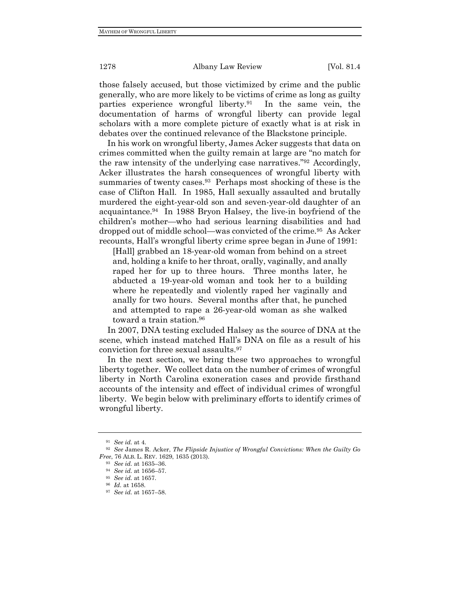those falsely accused, but those victimized by crime and the public generally, who are more likely to be victims of crime as long as guilty parties experience wrongful liberty.<sup>91</sup> In the same vein, the documentation of harms of wrongful liberty can provide legal scholars with a more complete picture of exactly what is at risk in debates over the continued relevance of the Blackstone principle.

In his work on wrongful liberty, James Acker suggests that data on crimes committed when the guilty remain at large are "no match for the raw intensity of the underlying case narratives."92 Accordingly, Acker illustrates the harsh consequences of wrongful liberty with summaries of twenty cases.<sup>93</sup> Perhaps most shocking of these is the case of Clifton Hall. In 1985, Hall sexually assaulted and brutally murdered the eight-year-old son and seven-year-old daughter of an acquaintance.<sup>94</sup> In 1988 Bryon Halsey, the live-in boyfriend of the children's mother—who had serious learning disabilities and had dropped out of middle school—was convicted of the crime.<sup>95</sup> As Acker recounts, Hall's wrongful liberty crime spree began in June of 1991:

[Hall] grabbed an 18-year-old woman from behind on a street and, holding a knife to her throat, orally, vaginally, and anally raped her for up to three hours. Three months later, he abducted a 19-year-old woman and took her to a building where he repeatedly and violently raped her vaginally and anally for two hours. Several months after that, he punched and attempted to rape a 26-year-old woman as she walked toward a train station.<sup>96</sup>

In 2007, DNA testing excluded Halsey as the source of DNA at the scene, which instead matched Hall's DNA on file as a result of his conviction for three sexual assaults.<sup>97</sup>

In the next section, we bring these two approaches to wrongful liberty together. We collect data on the number of crimes of wrongful liberty in North Carolina exoneration cases and provide firsthand accounts of the intensity and effect of individual crimes of wrongful liberty. We begin below with preliminary efforts to identify crimes of wrongful liberty.

<sup>91</sup> *See id.* at 4.

<sup>92</sup> *See* James R. Acker, *The Flipside Injustice of Wrongful Convictions: When the Guilty Go Free*, 76 ALB. L. REV. 1629, 1635 (2013).

<sup>93</sup> *See id.* at 1635–36.

<sup>94</sup> *See id.* at 1656–57.

<sup>95</sup> *See id.* at 1657.

<sup>96</sup> *Id.* at 1658.

<sup>97</sup> *See id.* at 1657–58.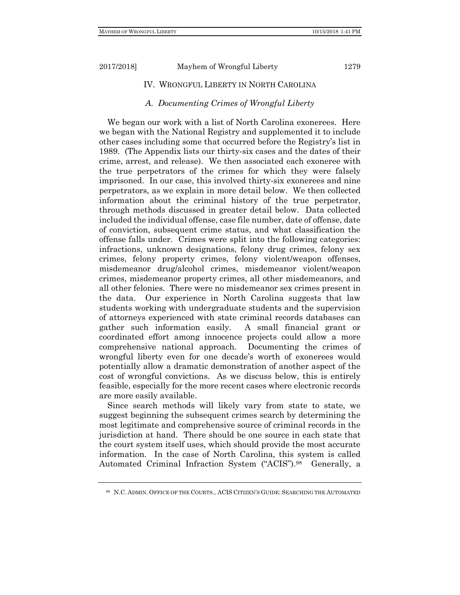# IV. WRONGFUL LIBERTY IN NORTH CAROLINA

## *A. Documenting Crimes of Wrongful Liberty*

We began our work with a list of North Carolina exonerees. Here we began with the National Registry and supplemented it to include other cases including some that occurred before the Registry's list in 1989. (The Appendix lists our thirty-six cases and the dates of their crime, arrest, and release). We then associated each exoneree with the true perpetrators of the crimes for which they were falsely imprisoned. In our case, this involved thirty-six exonerees and nine perpetrators, as we explain in more detail below. We then collected information about the criminal history of the true perpetrator, through methods discussed in greater detail below. Data collected included the individual offense, case file number, date of offense, date of conviction, subsequent crime status, and what classification the offense falls under. Crimes were split into the following categories: infractions, unknown designations, felony drug crimes, felony sex crimes, felony property crimes, felony violent/weapon offenses, misdemeanor drug/alcohol crimes, misdemeanor violent/weapon crimes, misdemeanor property crimes, all other misdemeanors, and all other felonies. There were no misdemeanor sex crimes present in the data. Our experience in North Carolina suggests that law students working with undergraduate students and the supervision of attorneys experienced with state criminal records databases can gather such information easily. A small financial grant or coordinated effort among innocence projects could allow a more comprehensive national approach. Documenting the crimes of wrongful liberty even for one decade's worth of exonerees would potentially allow a dramatic demonstration of another aspect of the cost of wrongful convictions. As we discuss below, this is entirely feasible, especially for the more recent cases where electronic records are more easily available.

Since search methods will likely vary from state to state, we suggest beginning the subsequent crimes search by determining the most legitimate and comprehensive source of criminal records in the jurisdiction at hand. There should be one source in each state that the court system itself uses, which should provide the most accurate information. In the case of North Carolina, this system is called Automated Criminal Infraction System ("ACIS").<sup>98</sup> Generally, a

<sup>98</sup> N.C. ADMIN. OFFICE OF THE COURTS*.,* ACIS CITIZEN'S GUIDE: SEARCHING THE AUTOMATED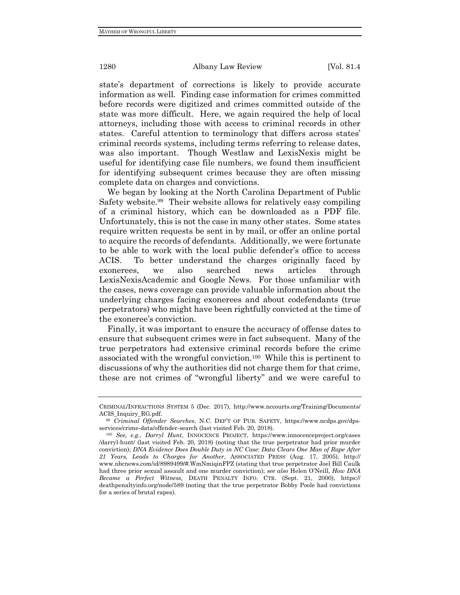state's department of corrections is likely to provide accurate information as well. Finding case information for crimes committed before records were digitized and crimes committed outside of the state was more difficult. Here, we again required the help of local attorneys, including those with access to criminal records in other states. Careful attention to terminology that differs across states' criminal records systems, including terms referring to release dates, was also important. Though Westlaw and LexisNexis might be useful for identifying case file numbers, we found them insufficient for identifying subsequent crimes because they are often missing complete data on charges and convictions.

We began by looking at the North Carolina Department of Public Safety website.<sup>99</sup> Their website allows for relatively easy compiling of a criminal history, which can be downloaded as a PDF file. Unfortunately, this is not the case in many other states. Some states require written requests be sent in by mail, or offer an online portal to acquire the records of defendants. Additionally, we were fortunate to be able to work with the local public defender's office to access ACIS. To better understand the charges originally faced by exonerees, we also searched news articles through LexisNexisAcademic and Google News. For those unfamiliar with the cases, news coverage can provide valuable information about the underlying charges facing exonerees and about codefendants (true perpetrators) who might have been rightfully convicted at the time of the exoneree's conviction.

Finally, it was important to ensure the accuracy of offense dates to ensure that subsequent crimes were in fact subsequent. Many of the true perpetrators had extensive criminal records before the crime associated with the wrongful conviction.<sup>100</sup> While this is pertinent to discussions of why the authorities did not charge them for that crime, these are not crimes of "wrongful liberty" and we were careful to

CRIMINAL/INFRACTIONS SYSTEM 5 (Dec. 2017), http://www.nccourts.org/Training/Documents/ ACIS\_Inquiry\_RG.pdf.

<sup>99</sup> *Criminal Offender Searches*, N.C. DEP'T OF PUB. SAFETY, https://www.ncdps.gov/dpsservices/crime-data/offender-search (last visited Feb. 20, 2018).

<sup>100</sup> *See, e.g.*, *Darryl Hunt*, INNOCENCE PROJECT, https://www.innocenceproject.org/cases /darryl-hunt/ (last visited Feb. 20, 2018) (noting that the true perpetrator had prior murder conviction); *DNA Evidence Does Double Duty in NC Case: Data Clears One Man of Rape After 21 Years, Leads to Charges for Another*, ASSOCIATED PRESS (Aug. 17, 2005), http:// www.nbcnews.com/id/8989499/#.WmNmiqinFPZ (stating that true perpetrator Joel Bill Caulk had three prior sexual assault and one murder conviction); *see also* Helen O'Neill, *How DNA Became a Perfect Witness,* DEATH PENALTY INFO. CTR. (Sept. 21, 2000), https:// deathpenaltyinfo.org/node/589 (noting that the true perpetrator Bobby Poole had convictions for a series of brutal rapes).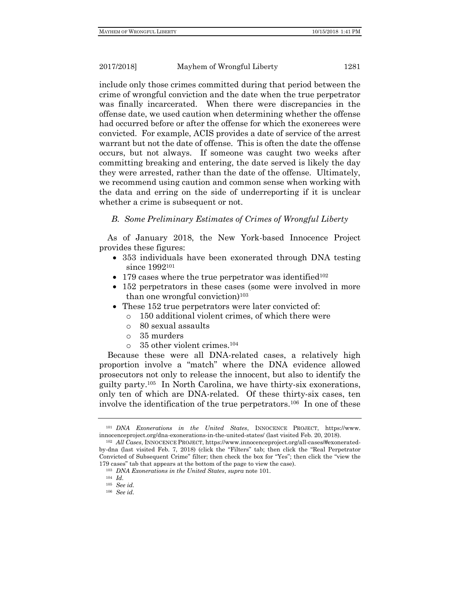include only those crimes committed during that period between the crime of wrongful conviction and the date when the true perpetrator was finally incarcerated. When there were discrepancies in the offense date, we used caution when determining whether the offense had occurred before or after the offense for which the exonerees were convicted. For example, ACIS provides a date of service of the arrest warrant but not the date of offense. This is often the date the offense occurs, but not always. If someone was caught two weeks after committing breaking and entering, the date served is likely the day they were arrested, rather than the date of the offense. Ultimately, we recommend using caution and common sense when working with the data and erring on the side of underreporting if it is unclear whether a crime is subsequent or not.

# *B. Some Preliminary Estimates of Crimes of Wrongful Liberty*

As of January 2018, the New York-based Innocence Project provides these figures:

- 353 individuals have been exonerated through DNA testing since 1992<sup>101</sup>
- 179 cases where the true perpetrator was identified<sup>102</sup>
- 152 perpetrators in these cases (some were involved in more than one wrongful conviction)<sup>103</sup>
- These 152 true perpetrators were later convicted of:
	- o 150 additional violent crimes, of which there were
	- o 80 sexual assaults
	- o 35 murders
	- o 35 other violent crimes.<sup>104</sup>

Because these were all DNA-related cases, a relatively high proportion involve a "match" where the DNA evidence allowed prosecutors not only to release the innocent, but also to identify the guilty party.<sup>105</sup> In North Carolina, we have thirty-six exonerations, only ten of which are DNA-related. Of these thirty-six cases, ten involve the identification of the true perpetrators.<sup>106</sup> In one of these

<sup>101</sup> *DNA Exonerations in the United States*, INNOCENCE PROJECT, https://www. innocenceproject.org/dna-exonerations-in-the-united-states/ (last visited Feb. 20, 2018).

<sup>102</sup> *All Cases*, INNOCENCE PROJECT, https://www.innocenceproject.org/all-cases/#exoneratedby-dna (last visited Feb. 7, 2018) (click the "Filters" tab; then click the "Real Perpetrator Convicted of Subsequent Crime" filter; then check the box for "Yes"; then click the "view the 179 cases" tab that appears at the bottom of the page to view the case).

<sup>103</sup> *DNA Exonerations in the United States*, *supra* note 101.

<sup>104</sup> *Id.*

<sup>105</sup> *See id.*

<sup>106</sup> *See id.*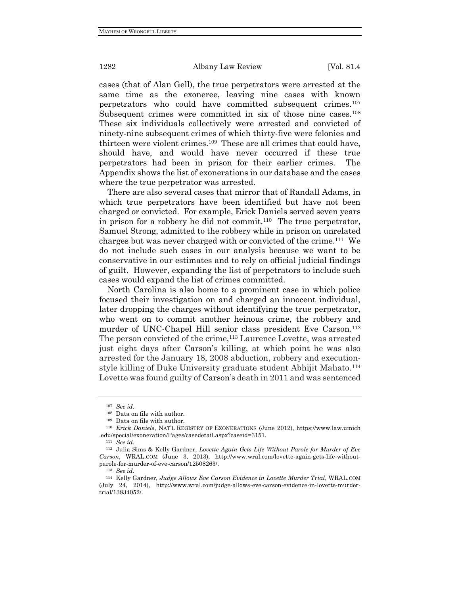cases (that of Alan Gell), the true perpetrators were arrested at the same time as the exoneree, leaving nine cases with known perpetrators who could have committed subsequent crimes.<sup>107</sup> Subsequent crimes were committed in six of those nine cases.<sup>108</sup> These six individuals collectively were arrested and convicted of ninety-nine subsequent crimes of which thirty-five were felonies and thirteen were violent crimes.<sup>109</sup> These are all crimes that could have, should have, and would have never occurred if these true perpetrators had been in prison for their earlier crimes. The Appendix shows the list of exonerations in our database and the cases where the true perpetrator was arrested.

There are also several cases that mirror that of Randall Adams, in which true perpetrators have been identified but have not been charged or convicted. For example, Erick Daniels served seven years in prison for a robbery he did not commit.<sup>110</sup> The true perpetrator, Samuel Strong, admitted to the robbery while in prison on unrelated charges but was never charged with or convicted of the crime.<sup>111</sup> We do not include such cases in our analysis because we want to be conservative in our estimates and to rely on official judicial findings of guilt. However, expanding the list of perpetrators to include such cases would expand the list of crimes committed.

North Carolina is also home to a prominent case in which police focused their investigation on and charged an innocent individual, later dropping the charges without identifying the true perpetrator, who went on to commit another heinous crime, the robbery and murder of UNC-Chapel Hill senior class president Eve Carson. 112 The person convicted of the crime,<sup>113</sup> Laurence Lovette, was arrested just eight days after Carson's killing, at which point he was also arrested for the January 18, 2008 abduction, robbery and executionstyle killing of Duke University graduate student Abhijit Mahato.<sup>114</sup> Lovette was found guilty of Carson's death in 2011 and was sentenced

<sup>107</sup> *See id.*

<sup>108</sup> Data on file with author.

<sup>109</sup> Data on file with author.

<sup>110</sup> *Erick Daniels*, NAT'L REGISTRY OF EXONERATIONS (June 2012), https://www.law.umich .edu/special/exoneration/Pages/casedetail.aspx?caseid=3151.

<sup>111</sup> *See id.*

<sup>112</sup> Julia Sims & Kelly Gardner, *Lovette Again Gets Life Without Parole for Murder of Eve Carson*, WRAL.COM (June 3, 2013), http://www.wral.com/lovette-again-gets-life-withoutparole-for-murder-of-eve-carson/12508263/.

<sup>113</sup> *See id.*

<sup>114</sup> Kelly Gardner, *Judge Allows Eve Carson Evidence in Lovette Murder Trial*, WRAL.COM (July 24, 2014), http://www.wral.com/judge-allows-eve-carson-evidence-in-lovette-murdertrial/13834052/.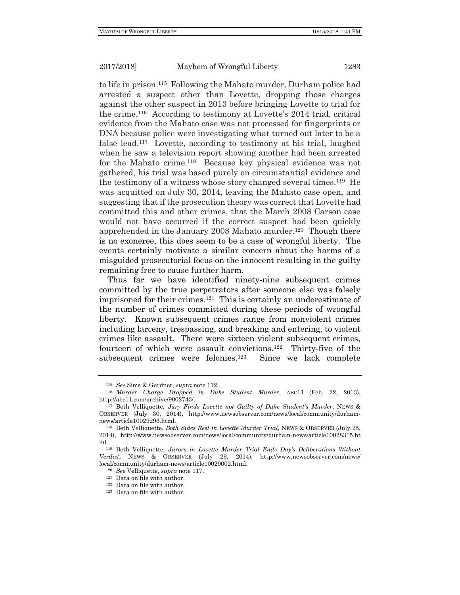to life in prison.<sup>115</sup> Following the Mahato murder, Durham police had arrested a suspect other than Lovette, dropping those charges against the other suspect in 2013 before bringing Lovette to trial for the crime.<sup>116</sup> According to testimony at Lovette's 2014 trial, critical evidence from the Mahato case was not processed for fingerprints or DNA because police were investigating what turned out later to be a false lead.<sup>117</sup> Lovette, according to testimony at his trial, laughed when he saw a television report showing another had been arrested for the Mahato crime.<sup>118</sup> Because key physical evidence was not gathered, his trial was based purely on circumstantial evidence and the testimony of a witness whose story changed several times.<sup>119</sup> He was acquitted on July 30, 2014, leaving the Mahato case open, and suggesting that if the prosecution theory was correct that Lovette had committed this and other crimes, that the March 2008 Carson case would not have occurred if the correct suspect had been quickly apprehended in the January 2008 Mahato murder.<sup>120</sup> Though there is no exoneree, this does seem to be a case of wrongful liberty. The events certainly motivate a similar concern about the harms of a misguided prosecutorial focus on the innocent resulting in the guilty remaining free to cause further harm.

Thus far we have identified ninety-nine subsequent crimes committed by the true perpetrators after someone else was falsely imprisoned for their crimes.<sup>121</sup> This is certainly an underestimate of the number of crimes committed during these periods of wrongful liberty. Known subsequent crimes range from nonviolent crimes including larceny, trespassing, and breaking and entering, to violent crimes like assault. There were sixteen violent subsequent crimes, fourteen of which were assault convictions.<sup>122</sup> Thirty-five of the subsequent crimes were felonies.<sup>123</sup> Since we lack complete

<sup>115</sup> *See* Sims & Gardner, *supra* note 112.

<sup>116</sup> *Murder Charge Dropped in Duke Student Murder*, ABC11 (Feb. 22, 2013), http://abc11.com/archive/9002743/.

<sup>117</sup> Beth Velliquette, *Jury Finds Lovette not Guilty of Duke Student's Murder*, NEWS & OBSERVER (July 30, 2014), http://www.newsobserver.com/news/local/community/durhamnews/article10029296.html.

<sup>118</sup> Beth Velliquette, *Both Sides Rest in Lovette Murder Trial*, NEWS & OBSERVER (July 25, 2014), http://www.newsobserver.com/news/local/community/durham-news/article10028315.ht ml.

<sup>119</sup> Beth Velliquette, *Jurors in Lovette Murder Trial Ends Day's Deliberations Without Verdict*, NEWS & OBSERVER (July 29, 2014), http://www.newsobserver.com/news/ local/community/durham-news/article10029002.html.

<sup>120</sup> *See* Velliquette, *supra* note 117.

<sup>121</sup> Data on file with author.

<sup>122</sup> Data on file with author.

<sup>123</sup> Data on file with author.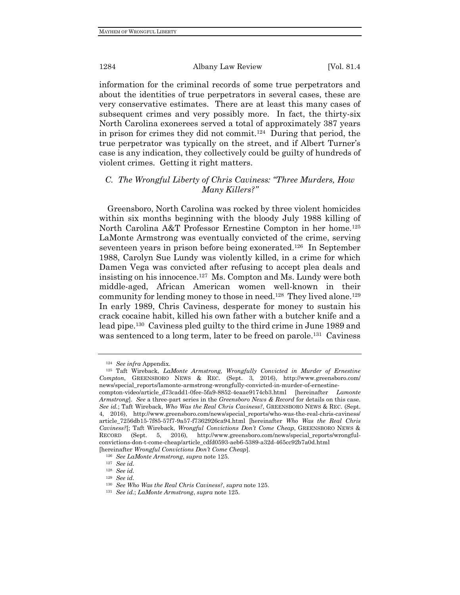information for the criminal records of some true perpetrators and about the identities of true perpetrators in several cases, these are very conservative estimates. There are at least this many cases of subsequent crimes and very possibly more. In fact, the thirty-six North Carolina exonerees served a total of approximately 387 years in prison for crimes they did not commit.<sup>124</sup> During that period, the true perpetrator was typically on the street, and if Albert Turner's case is any indication, they collectively could be guilty of hundreds of violent crimes. Getting it right matters.

# *C. The Wrongful Liberty of Chris Caviness: "Three Murders, How Many Killers?"*

Greensboro, North Carolina was rocked by three violent homicides within six months beginning with the bloody July 1988 killing of North Carolina A&T Professor Ernestine Compton in her home.<sup>125</sup> LaMonte Armstrong was eventually convicted of the crime, serving seventeen years in prison before being exonerated.<sup>126</sup> In September 1988, Carolyn Sue Lundy was violently killed, in a crime for which Damen Vega was convicted after refusing to accept plea deals and insisting on his innocence.<sup>127</sup> Ms. Compton and Ms. Lundy were both middle-aged, African American women well-known in their community for lending money to those in need.<sup>128</sup> They lived alone.<sup>129</sup> In early 1989, Chris Caviness, desperate for money to sustain his crack cocaine habit, killed his own father with a butcher knife and a lead pipe.<sup>130</sup> Caviness pled guilty to the third crime in June 1989 and was sentenced to a long term, later to be freed on parole.<sup>131</sup> Caviness

<sup>124</sup> *See infra* Appendix.

<sup>&</sup>lt;sup>125</sup> Taft Wireback, *LaMonte Armstrong*, *Wrongfully Convicted in Murder of Ernestine Compton*, GREENSBORO NEWS & REC. (Sept. 3, 2016), http://www.greensboro.com/ news/special\_reports/lamonte-armstrong-wrongfully-convicted-in-murder-of-ernestinecompton-video/article\_d73cadd1-0fee-5fa9-8852-4eaae9174cb3.html [hereinafter *Lamonte Armstrong*]. *See* a three-part series in the *Greensboro News & Record* for details on this case. *See id.*; Taft Wireback, *Who Was the Real Chris Caviness?*, GREENSBORO NEWS & REC. (Sept. 4, 2016), http://www.greensboro.com/news/special\_reports/who-was-the-real-chris-caviness/ article\_7256db15-7f85-57f7-9a57-f7362926ca94.html [hereinafter *Who Was the Real Chris Caviness?*[; Taft Wireback, *Wrongful Convictions Don't Come Cheap*, GREENSBORO NEWS & RECORD (Sept. 5, 2016), http://www.greensboro.com/news/special\_reports/wrongfulconvictions-don-t-come-cheap/article\_cdfd0593-aeb6-5389-a32d-465cc92b7a0d.html [hereinafter *Wrongful Convictions Don't Come Cheap*].

<sup>126</sup> *See LaMonte Armstrong*, *supra* note 125.

<sup>127</sup> *See id.*

<sup>128</sup> *See id.*

<sup>129</sup> *See id.*

<sup>130</sup> *See Who Was the Real Chris Caviness?*, *supra* note 125.

<sup>131</sup> *See id.*; *LaMonte Armstrong*, *supra* note 125.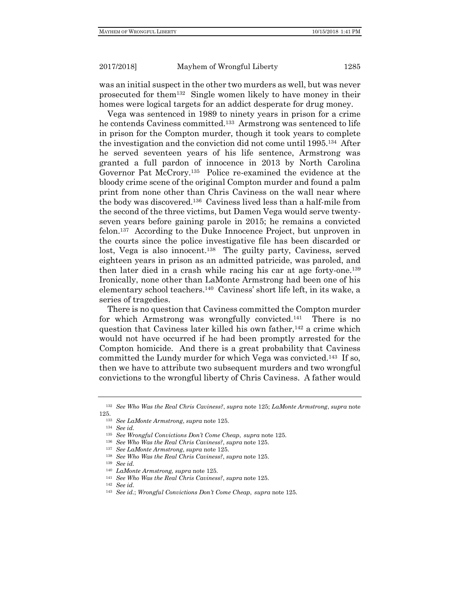was an initial suspect in the other two murders as well, but was never prosecuted for them<sup>132</sup> Single women likely to have money in their homes were logical targets for an addict desperate for drug money.

Vega was sentenced in 1989 to ninety years in prison for a crime he contends Caviness committed.<sup>133</sup> Armstrong was sentenced to life in prison for the Compton murder, though it took years to complete the investigation and the conviction did not come until 1995.<sup>134</sup> After he served seventeen years of his life sentence, Armstrong was granted a full pardon of innocence in 2013 by North Carolina Governor Pat McCrory.<sup>135</sup> Police re-examined the evidence at the bloody crime scene of the original Compton murder and found a palm print from none other than Chris Caviness on the wall near where the body was discovered.<sup>136</sup> Caviness lived less than a half-mile from the second of the three victims, but Damen Vega would serve twentyseven years before gaining parole in 2015; he remains a convicted felon.<sup>137</sup> According to the Duke Innocence Project, but unproven in the courts since the police investigative file has been discarded or lost, Vega is also innocent.<sup>138</sup> The guilty party, Caviness, served eighteen years in prison as an admitted patricide, was paroled, and then later died in a crash while racing his car at age forty-one. 139 Ironically, none other than LaMonte Armstrong had been one of his elementary school teachers.<sup>140</sup> Caviness' short life left, in its wake, a series of tragedies.

There is no question that Caviness committed the Compton murder for which Armstrong was wrongfully convicted.<sup>141</sup> There is no question that Caviness later killed his own father,<sup>142</sup> a crime which would not have occurred if he had been promptly arrested for the Compton homicide. And there is a great probability that Caviness committed the Lundy murder for which Vega was convicted.<sup>143</sup> If so, then we have to attribute two subsequent murders and two wrongful convictions to the wrongful liberty of Chris Caviness. A father would

<sup>141</sup> *See Who Was the Real Chris Caviness?*, *supra* note 125.

<sup>132</sup> *See Who Was the Real Chris Caviness?*, *supra* note 125; *LaMonte Armstrong*, *supra* note 125.

<sup>133</sup> *See LaMonte Armstrong*, *supra* note 125.

<sup>134</sup> *See id.*

<sup>135</sup> *See Wrongful Convictions Don't Come Cheap*, *supra* note 125.

<sup>136</sup> *See Who Was the Real Chris Caviness?*, *supra* note 125.

<sup>137</sup> *See LaMonte Armstrong*, *supra* note 125.

<sup>138</sup> *See Who Was the Real Chris Caviness?*, *supra* note 125.

<sup>139</sup> *See id.*

<sup>140</sup> *LaMonte Armstrong, supra* note 125.

<sup>142</sup> *See id.*

<sup>143</sup> *See id.*; *Wrongful Convictions Don't Come Cheap*, *supra* note 125.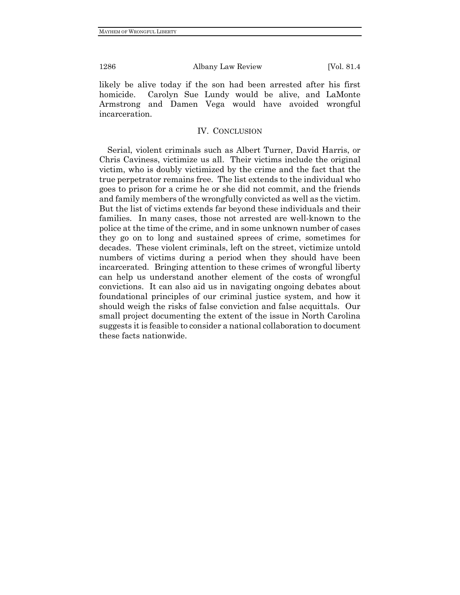likely be alive today if the son had been arrested after his first homicide. Carolyn Sue Lundy would be alive, and LaMonte Armstrong and Damen Vega would have avoided wrongful incarceration.

# IV. CONCLUSION

Serial, violent criminals such as Albert Turner, David Harris, or Chris Caviness, victimize us all. Their victims include the original victim, who is doubly victimized by the crime and the fact that the true perpetrator remains free. The list extends to the individual who goes to prison for a crime he or she did not commit, and the friends and family members of the wrongfully convicted as well as the victim. But the list of victims extends far beyond these individuals and their families. In many cases, those not arrested are well-known to the police at the time of the crime, and in some unknown number of cases they go on to long and sustained sprees of crime, sometimes for decades. These violent criminals, left on the street, victimize untold numbers of victims during a period when they should have been incarcerated. Bringing attention to these crimes of wrongful liberty can help us understand another element of the costs of wrongful convictions. It can also aid us in navigating ongoing debates about foundational principles of our criminal justice system, and how it should weigh the risks of false conviction and false acquittals. Our small project documenting the extent of the issue in North Carolina suggests it is feasible to consider a national collaboration to document these facts nationwide.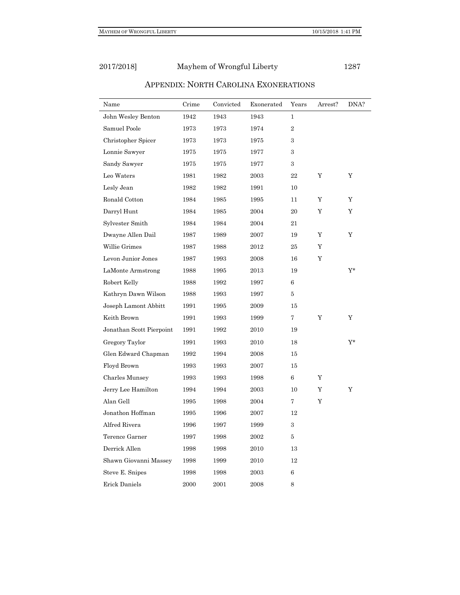| Name                     | Crime | Convicted | Exonerated | Years          | Arrest? | DNA?  |
|--------------------------|-------|-----------|------------|----------------|---------|-------|
| John Wesley Benton       | 1942  | 1943      | 1943       | $\mathbf{1}$   |         |       |
| Samuel Poole             | 1973  | 1973      | 1974       | $\overline{2}$ |         |       |
| Christopher Spicer       | 1973  | 1973      | 1975       | 3              |         |       |
| Lonnie Sawyer            | 1975  | 1975      | 1977       | 3              |         |       |
| Sandy Sawyer             | 1975  | 1975      | 1977       | 3              |         |       |
| Leo Waters               | 1981  | 1982      | 2003       | 22             | Υ       | Y     |
| Lesly Jean               | 1982  | 1982      | 1991       | 10             |         |       |
| Ronald Cotton            | 1984  | 1985      | 1995       | 11             | Y       | Y     |
| Darryl Hunt              | 1984  | 1985      | 2004       | 20             | Y       | Y     |
| Sylvester Smith          | 1984  | 1984      | 2004       | 21             |         |       |
| Dwayne Allen Dail        | 1987  | 1989      | 2007       | 19             | Y       | Y     |
| Willie Grimes            | 1987  | 1988      | 2012       | 25             | Υ       |       |
| Levon Junior Jones       | 1987  | 1993      | 2008       | 16             | Y       |       |
| LaMonte Armstrong        | 1988  | 1995      | 2013       | 19             |         | Y*    |
| Robert Kelly             | 1988  | 1992      | 1997       | 6              |         |       |
| Kathryn Dawn Wilson      | 1988  | 1993      | 1997       | 5              |         |       |
| Joseph Lamont Abbitt     | 1991  | 1995      | 2009       | 15             |         |       |
| Keith Brown              | 1991  | 1993      | 1999       | $\overline{7}$ | Y       | Y     |
| Jonathan Scott Pierpoint | 1991  | 1992      | 2010       | 19             |         |       |
| Gregory Taylor           | 1991  | 1993      | 2010       | 18             |         | $Y^*$ |
| Glen Edward Chapman      | 1992  | 1994      | 2008       | 15             |         |       |
| Floyd Brown              | 1993  | 1993      | 2007       | 15             |         |       |
| Charles Munsey           | 1993  | 1993      | 1998       | 6              | Y       |       |
| Jerry Lee Hamilton       | 1994  | 1994      | 2003       | 10             | Y       | Y     |
| Alan Gell                | 1995  | 1998      | 2004       | $\overline{7}$ | Y       |       |
| Jonathon Hoffman         | 1995  | 1996      | 2007       | 12             |         |       |
| Alfred Rivera            | 1996  | 1997      | 1999       | 3              |         |       |
| Terence Garner           | 1997  | 1998      | 2002       | 5              |         |       |
| Derrick Allen            | 1998  | 1998      | 2010       | 13             |         |       |
| Shawn Giovanni Massey    | 1998  | 1999      | 2010       | 12             |         |       |
| Steve E. Snipes          | 1998  | 1998      | 2003       | 6              |         |       |
| Erick Daniels            | 2000  | 2001      | 2008       | 8              |         |       |

# APPENDIX: NORTH CAROLINA EXONERATIONS